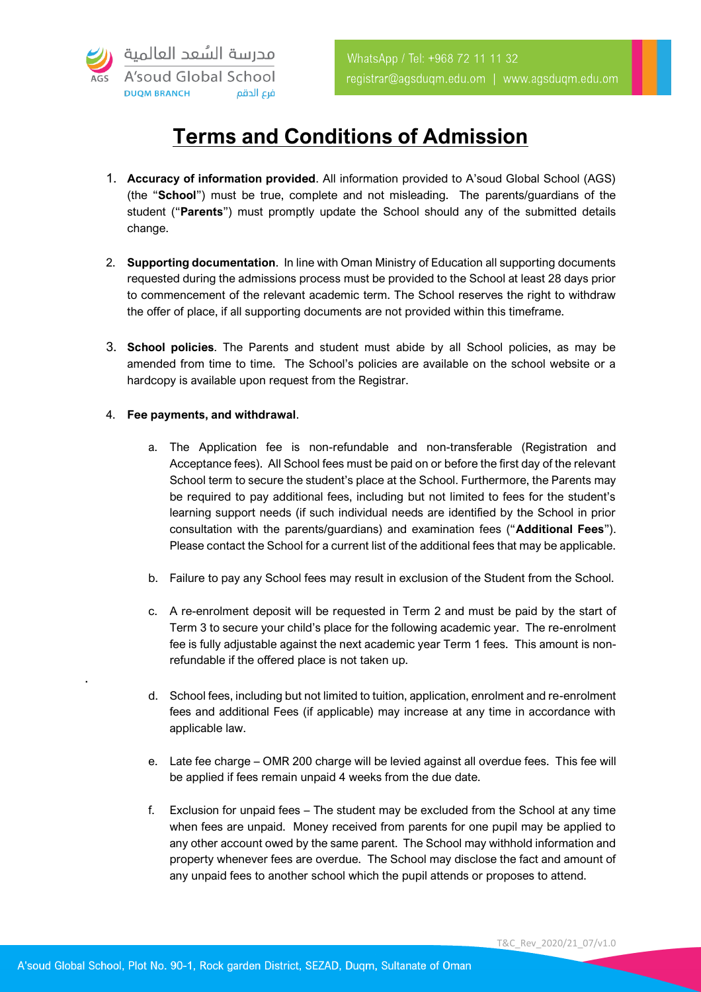

## **Terms and Conditions of Admission**

- 1. **Accuracy of information provided**. All information provided to A'soud Global School (AGS) (the "**School**") must be true, complete and not misleading. The parents/guardians of the student ("**Parents**") must promptly update the School should any of the submitted details change.
- 2. **Supporting documentation**. In line with Oman Ministry of Education all supporting documents requested during the admissions process must be provided to the School at least 28 days prior to commencement of the relevant academic term. The School reserves the right to withdraw the offer of place, if all supporting documents are not provided within this timeframe.
- 3. **School policies**. The Parents and student must abide by all School policies, as may be amended from time to time. The School's policies are available on the school website or a hardcopy is available upon request from the Registrar.

## 4. **Fee payments, and withdrawal**.

.

- a. The Application fee is non-refundable and non-transferable (Registration and Acceptance fees). All School fees must be paid on or before the first day of the relevant School term to secure the student's place at the School. Furthermore, the Parents may be required to pay additional fees, including but not limited to fees for the student's learning support needs (if such individual needs are identified by the School in prior consultation with the parents/guardians) and examination fees ("**Additional Fees**"). Please contact the School for a current list of the additional fees that may be applicable.
- b. Failure to pay any School fees may result in exclusion of the Student from the School.
- c. A re-enrolment deposit will be requested in Term 2 and must be paid by the start of Term 3 to secure your child's place for the following academic year. The re-enrolment fee is fully adjustable against the next academic year Term 1 fees. This amount is nonrefundable if the offered place is not taken up.
- d. School fees, including but not limited to tuition, application, enrolment and re-enrolment fees and additional Fees (if applicable) may increase at any time in accordance with applicable law.
- e. Late fee charge OMR 200 charge will be levied against all overdue fees. This fee will be applied if fees remain unpaid 4 weeks from the due date.
- f. Exclusion for unpaid fees The student may be excluded from the School at any time when fees are unpaid. Money received from parents for one pupil may be applied to any other account owed by the same parent. The School may withhold information and property whenever fees are overdue. The School may disclose the fact and amount of any unpaid fees to another school which the pupil attends or proposes to attend.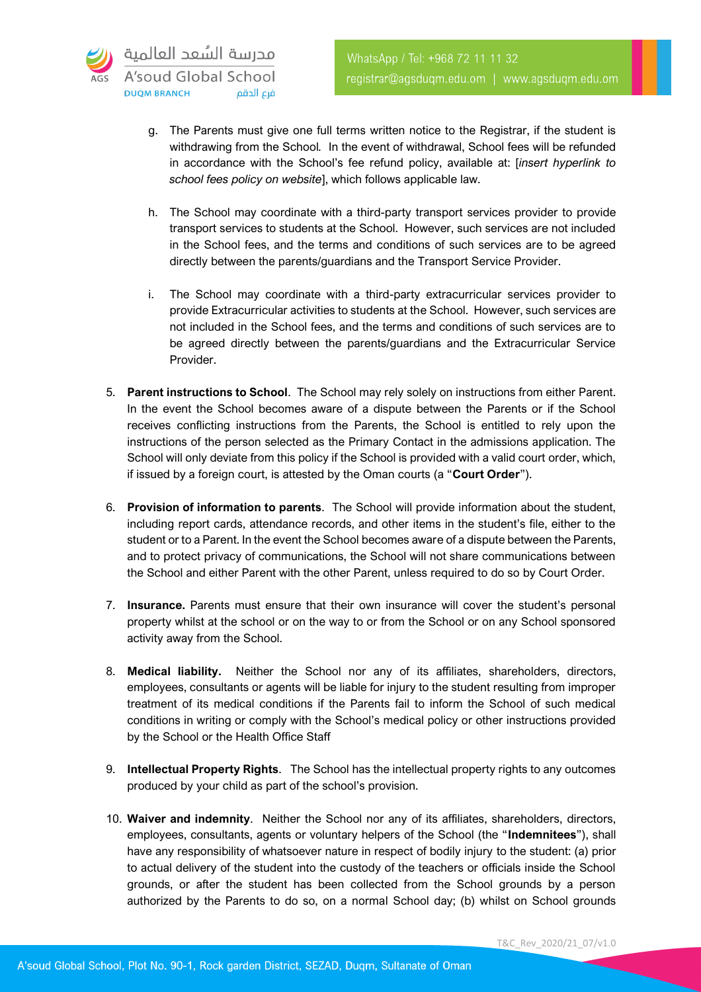

- g. The Parents must give one full terms written notice to the Registrar, if the student is withdrawing from the School*.* In the event of withdrawal, School fees will be refunded in accordance with the School's fee refund policy, available at: [*insert hyperlink to school fees policy on website*], which follows applicable law.
- h. The School may coordinate with a third-party transport services provider to provide transport services to students at the School. However, such services are not included in the School fees, and the terms and conditions of such services are to be agreed directly between the parents/guardians and the Transport Service Provider.
- i. The School may coordinate with a third-party extracurricular services provider to provide Extracurricular activities to students at the School. However, such services are not included in the School fees, and the terms and conditions of such services are to be agreed directly between the parents/guardians and the Extracurricular Service Provider.
- 5. **Parent instructions to School**. The School may rely solely on instructions from either Parent. In the event the School becomes aware of a dispute between the Parents or if the School receives conflicting instructions from the Parents, the School is entitled to rely upon the instructions of the person selected as the Primary Contact in the admissions application. The School will only deviate from this policy if the School is provided with a valid court order, which, if issued by a foreign court, is attested by the Oman courts (a "**Court Order**").
- 6. **Provision of information to parents**. The School will provide information about the student, including report cards, attendance records, and other items in the student's file, either to the student or to a Parent. In the event the School becomes aware of a dispute between the Parents, and to protect privacy of communications, the School will not share communications between the School and either Parent with the other Parent, unless required to do so by Court Order.
- 7. **Insurance.** Parents must ensure that their own insurance will cover the student's personal property whilst at the school or on the way to or from the School or on any School sponsored activity away from the School.
- 8. **Medical liability.** Neither the School nor any of its affiliates, shareholders, directors, employees, consultants or agents will be liable for injury to the student resulting from improper treatment of its medical conditions if the Parents fail to inform the School of such medical conditions in writing or comply with the School's medical policy or other instructions provided by the School or the Health Office Staff
- 9. **Intellectual Property Rights**. The School has the intellectual property rights to any outcomes produced by your child as part of the school's provision.
- 10. **Waiver and indemnity**. Neither the School nor any of its affiliates, shareholders, directors, employees, consultants, agents or voluntary helpers of the School (the "**Indemnitees**"), shall have any responsibility of whatsoever nature in respect of bodily injury to the student: (a) prior to actual delivery of the student into the custody of the teachers or officials inside the School grounds, or after the student has been collected from the School grounds by a person authorized by the Parents to do so, on a normal School day; (b) whilst on School grounds